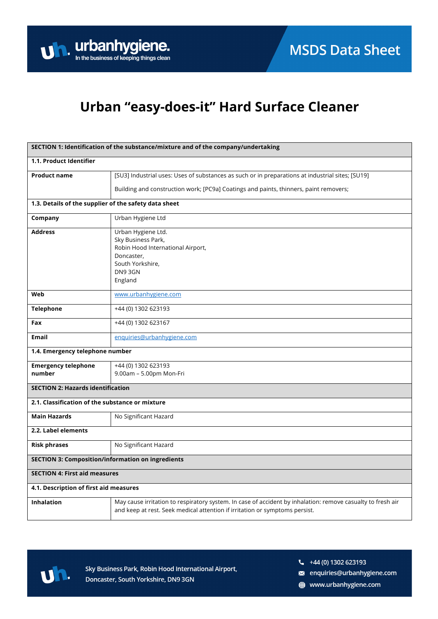

## Urban "easy-does-it" Hard Surface Cleaner

| SECTION 1: Identification of the substance/mixture and of the company/undertaking |                                                                                                                                                                                            |  |
|-----------------------------------------------------------------------------------|--------------------------------------------------------------------------------------------------------------------------------------------------------------------------------------------|--|
| 1.1. Product Identifier                                                           |                                                                                                                                                                                            |  |
| <b>Product name</b>                                                               | [SU3] Industrial uses: Uses of substances as such or in preparations at industrial sites; [SU19]                                                                                           |  |
|                                                                                   | Building and construction work; [PC9a] Coatings and paints, thinners, paint removers;                                                                                                      |  |
| 1.3. Details of the supplier of the safety data sheet                             |                                                                                                                                                                                            |  |
| Company                                                                           | Urban Hygiene Ltd                                                                                                                                                                          |  |
| <b>Address</b>                                                                    | Urban Hygiene Ltd.<br>Sky Business Park,<br>Robin Hood International Airport,<br>Doncaster,<br>South Yorkshire,<br>DN93GN<br>England                                                       |  |
| Web                                                                               | www.urbanhygiene.com                                                                                                                                                                       |  |
| <b>Telephone</b>                                                                  | +44 (0) 1302 623193                                                                                                                                                                        |  |
| Fax                                                                               | +44 (0) 1302 623167                                                                                                                                                                        |  |
| Email                                                                             | enquiries@urbanhygiene.com                                                                                                                                                                 |  |
| 1.4. Emergency telephone number                                                   |                                                                                                                                                                                            |  |
| <b>Emergency telephone</b><br>number                                              | +44 (0) 1302 623193<br>9.00am - 5.00pm Mon-Fri                                                                                                                                             |  |
| <b>SECTION 2: Hazards identification</b>                                          |                                                                                                                                                                                            |  |
| 2.1. Classification of the substance or mixture                                   |                                                                                                                                                                                            |  |
| <b>Main Hazards</b>                                                               | No Significant Hazard                                                                                                                                                                      |  |
| 2.2. Label elements                                                               |                                                                                                                                                                                            |  |
| <b>Risk phrases</b>                                                               | No Significant Hazard                                                                                                                                                                      |  |
| <b>SECTION 3: Composition/information on ingredients</b>                          |                                                                                                                                                                                            |  |
| <b>SECTION 4: First aid measures</b>                                              |                                                                                                                                                                                            |  |
| 4.1. Description of first aid measures                                            |                                                                                                                                                                                            |  |
| <b>Inhalation</b>                                                                 | May cause irritation to respiratory system. In case of accident by inhalation: remove casualty to fresh air<br>and keep at rest. Seek medical attention if irritation or symptoms persist. |  |



Sky Business Park, Robin Hood International Airport, Doncaster, South Yorkshire, DN9 3GN

 $\frac{1}{2}$  +44 (0) 1302 623193

a enquiries@urbanhygiene.com

www.urbanhygiene.com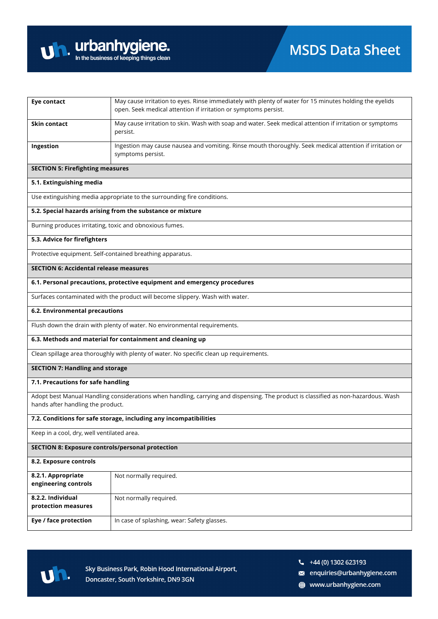

| <b>Eye contact</b>                                                                                                                                                      | May cause irritation to eyes. Rinse immediately with plenty of water for 15 minutes holding the eyelids<br>open. Seek medical attention if irritation or symptoms persist. |  |
|-------------------------------------------------------------------------------------------------------------------------------------------------------------------------|----------------------------------------------------------------------------------------------------------------------------------------------------------------------------|--|
| Skin contact                                                                                                                                                            | May cause irritation to skin. Wash with soap and water. Seek medical attention if irritation or symptoms<br>persist.                                                       |  |
| Ingestion                                                                                                                                                               | Ingestion may cause nausea and vomiting. Rinse mouth thoroughly. Seek medical attention if irritation or<br>symptoms persist.                                              |  |
| <b>SECTION 5: Firefighting measures</b>                                                                                                                                 |                                                                                                                                                                            |  |
| 5.1. Extinguishing media                                                                                                                                                |                                                                                                                                                                            |  |
| Use extinguishing media appropriate to the surrounding fire conditions.                                                                                                 |                                                                                                                                                                            |  |
|                                                                                                                                                                         | 5.2. Special hazards arising from the substance or mixture                                                                                                                 |  |
| Burning produces irritating, toxic and obnoxious fumes.                                                                                                                 |                                                                                                                                                                            |  |
| 5.3. Advice for firefighters                                                                                                                                            |                                                                                                                                                                            |  |
| Protective equipment. Self-contained breathing apparatus.                                                                                                               |                                                                                                                                                                            |  |
| <b>SECTION 6: Accidental release measures</b>                                                                                                                           |                                                                                                                                                                            |  |
|                                                                                                                                                                         | 6.1. Personal precautions, protective equipment and emergency procedures                                                                                                   |  |
|                                                                                                                                                                         | Surfaces contaminated with the product will become slippery. Wash with water.                                                                                              |  |
| 6.2. Environmental precautions                                                                                                                                          |                                                                                                                                                                            |  |
|                                                                                                                                                                         | Flush down the drain with plenty of water. No environmental requirements.                                                                                                  |  |
|                                                                                                                                                                         | 6.3. Methods and material for containment and cleaning up                                                                                                                  |  |
|                                                                                                                                                                         | Clean spillage area thoroughly with plenty of water. No specific clean up requirements.                                                                                    |  |
| <b>SECTION 7: Handling and storage</b>                                                                                                                                  |                                                                                                                                                                            |  |
| 7.1. Precautions for safe handling                                                                                                                                      |                                                                                                                                                                            |  |
| Adopt best Manual Handling considerations when handling, carrying and dispensing. The product is classified as non-hazardous. Wash<br>hands after handling the product. |                                                                                                                                                                            |  |
|                                                                                                                                                                         | 7.2. Conditions for safe storage, including any incompatibilities                                                                                                          |  |
| Keep in a cool, dry, well ventilated area.                                                                                                                              |                                                                                                                                                                            |  |
| <b>SECTION 8: Exposure controls/personal protection</b>                                                                                                                 |                                                                                                                                                                            |  |
| 8.2. Exposure controls                                                                                                                                                  |                                                                                                                                                                            |  |
| 8.2.1. Appropriate<br>engineering controls                                                                                                                              | Not normally required.                                                                                                                                                     |  |
| 8.2.2. Individual<br>protection measures                                                                                                                                | Not normally required.                                                                                                                                                     |  |
| Eye / face protection                                                                                                                                                   | In case of splashing, wear: Safety glasses.                                                                                                                                |  |



 $\frac{1}{2}$  +44 (0) 1302 623193

a enquiries@urbanhygiene.com

www.urbanhygiene.com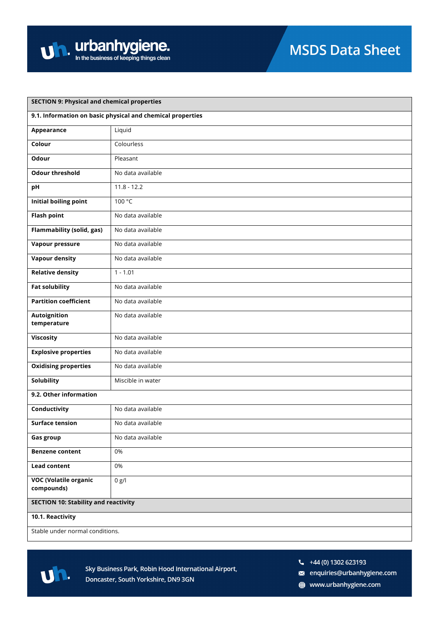| <b>SECTION 9: Physical and chemical properties</b>         |                   |  |
|------------------------------------------------------------|-------------------|--|
| 9.1. Information on basic physical and chemical properties |                   |  |
| Appearance                                                 | Liquid            |  |
| Colour                                                     | Colourless        |  |
| Odour                                                      | Pleasant          |  |
| <b>Odour threshold</b>                                     | No data available |  |
| pH                                                         | $11.8 - 12.2$     |  |
| <b>Initial boiling point</b>                               | 100 °C            |  |
| <b>Flash point</b>                                         | No data available |  |
| <b>Flammability (solid, gas)</b>                           | No data available |  |
| Vapour pressure                                            | No data available |  |
| <b>Vapour density</b>                                      | No data available |  |
| <b>Relative density</b>                                    | $1 - 1.01$        |  |
| <b>Fat solubility</b>                                      | No data available |  |
| <b>Partition coefficient</b>                               | No data available |  |
| Autoignition<br>temperature                                | No data available |  |
| <b>Viscosity</b>                                           | No data available |  |
| <b>Explosive properties</b>                                | No data available |  |
| <b>Oxidising properties</b>                                | No data available |  |
| Solubility                                                 | Miscible in water |  |
| 9.2. Other information                                     |                   |  |
| Conductivity                                               | No data available |  |
| <b>Surface tension</b>                                     | No data available |  |
| <b>Gas group</b>                                           | No data available |  |
| <b>Benzene content</b>                                     | 0%                |  |
| <b>Lead content</b>                                        | 0%                |  |
| <b>VOC (Volatile organic</b><br>compounds)                 | 0 g/l             |  |
| <b>SECTION 10: Stability and reactivity</b>                |                   |  |
| 10.1. Reactivity                                           |                   |  |
| Stable under normal conditions.                            |                   |  |



- $\frac{1}{2}$  +44 (0) 1302 623193
- a enquiries@urbanhygiene.com
- www.urbanhygiene.com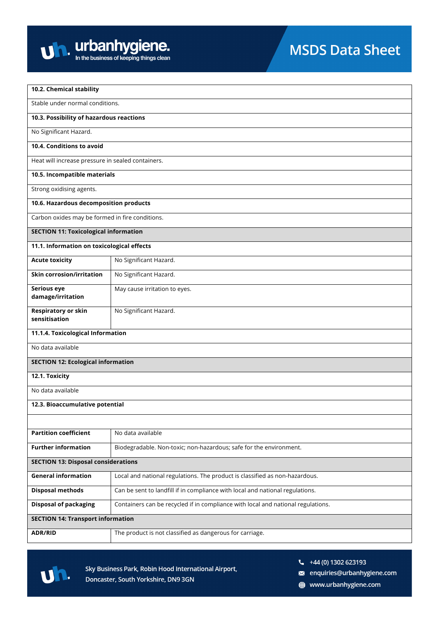

| 10.2. Chemical stability                          |                                                                                  |  |
|---------------------------------------------------|----------------------------------------------------------------------------------|--|
| Stable under normal conditions.                   |                                                                                  |  |
| 10.3. Possibility of hazardous reactions          |                                                                                  |  |
| No Significant Hazard.                            |                                                                                  |  |
| 10.4. Conditions to avoid                         |                                                                                  |  |
| Heat will increase pressure in sealed containers. |                                                                                  |  |
| 10.5. Incompatible materials                      |                                                                                  |  |
| Strong oxidising agents.                          |                                                                                  |  |
| 10.6. Hazardous decomposition products            |                                                                                  |  |
| Carbon oxides may be formed in fire conditions.   |                                                                                  |  |
| <b>SECTION 11: Toxicological information</b>      |                                                                                  |  |
| 11.1. Information on toxicological effects        |                                                                                  |  |
| <b>Acute toxicity</b>                             | No Significant Hazard.                                                           |  |
| <b>Skin corrosion/irritation</b>                  | No Significant Hazard.                                                           |  |
| Serious eye<br>damage/irritation                  | May cause irritation to eyes.                                                    |  |
|                                                   |                                                                                  |  |
| <b>Respiratory or skin</b><br>sensitisation       | No Significant Hazard.                                                           |  |
| 11.1.4. Toxicological Information                 |                                                                                  |  |
| No data available                                 |                                                                                  |  |
| <b>SECTION 12: Ecological information</b>         |                                                                                  |  |
| 12.1. Toxicity                                    |                                                                                  |  |
| No data available                                 |                                                                                  |  |
| 12.3. Bioaccumulative potential                   |                                                                                  |  |
|                                                   |                                                                                  |  |
| <b>Partition coefficient</b>                      | No data available                                                                |  |
| <b>Further information</b>                        | Biodegradable. Non-toxic; non-hazardous; safe for the environment.               |  |
| <b>SECTION 13: Disposal considerations</b>        |                                                                                  |  |
| <b>General information</b>                        | Local and national regulations. The product is classified as non-hazardous.      |  |
| <b>Disposal methods</b>                           | Can be sent to landfill if in compliance with local and national regulations.    |  |
| <b>Disposal of packaging</b>                      | Containers can be recycled if in compliance with local and national regulations. |  |
| <b>SECTION 14: Transport information</b>          |                                                                                  |  |
| ADR/RID                                           | The product is not classified as dangerous for carriage.                         |  |



- $\frac{1}{2}$  +44 (0) 1302 623193
- a enquiries@urbanhygiene.com
- www.urbanhygiene.com